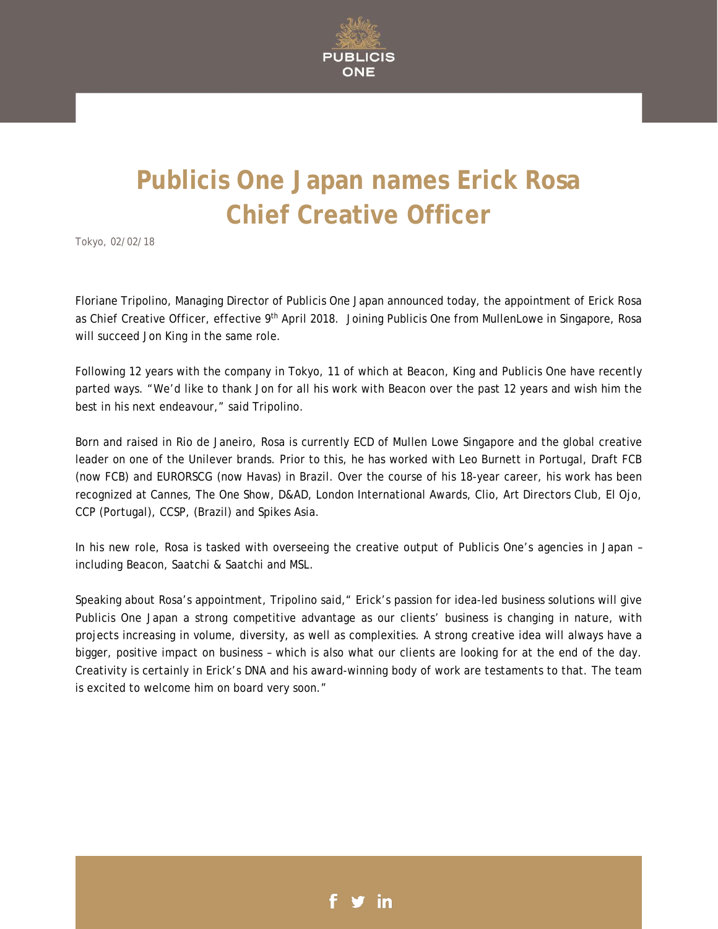

## **Publicis One Japan names Erick Rosa Chief Creative Officer**

Tokyo, 02/02/18

Floriane Tripolino, Managing Director of Publicis One Japan announced today, the appointment of Erick Rosa as Chief Creative Officer, effective 9<sup>th</sup> April 2018. Joining Publicis One from MullenLowe in Singapore, Rosa will succeed Jon King in the same role.

Following 12 years with the company in Tokyo, 11 of which at Beacon, King and Publicis One have recently parted ways. "We'd like to thank Jon for all his work with Beacon over the past 12 years and wish him the best in his next endeavour," said Tripolino.

Born and raised in Rio de Janeiro, Rosa is currently ECD of Mullen Lowe Singapore and the global creative leader on one of the Unilever brands. Prior to this, he has worked with Leo Burnett in Portugal, Draft FCB (now FCB) and EURORSCG (now Havas) in Brazil. Over the course of his 18-year career, his work has been recognized at Cannes, The One Show, D&AD, London International Awards, Clio, Art Directors Club, El Ojo, CCP (Portugal), CCSP, (Brazil) and Spikes Asia.

In his new role, Rosa is tasked with overseeing the creative output of Publicis One's agencies in Japan – including Beacon, Saatchi & Saatchi and MSL.

Speaking about Rosa's appointment, Tripolino said," Erick's passion for idea-led business solutions will give Publicis One Japan a strong competitive advantage as our clients' business is changing in nature, with projects increasing in volume, diversity, as well as complexities. A strong creative idea will always have a bigger, positive impact on business – which is also what our clients are looking for at the end of the day. Creativity is certainly in Erick's DNA and his award-winning body of work are testaments to that. The team is excited to welcome him on board very soon."